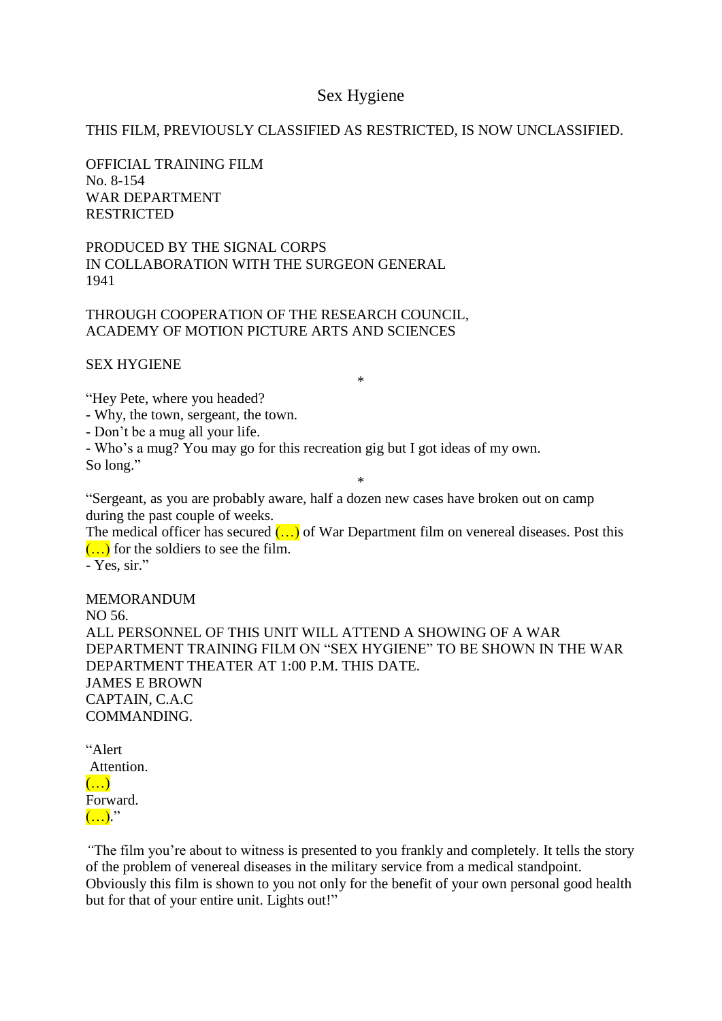## Sex Hygiene

## THIS FILM, PREVIOUSLY CLASSIFIED AS RESTRICTED, IS NOW UNCLASSIFIED.

OFFICIAL TRAINING FILM No. 8-154 WAR DEPARTMENT RESTRICTED

PRODUCED BY THE SIGNAL CORPS IN COLLABORATION WITH THE SURGEON GENERAL 1941

THROUGH COOPERATION OF THE RESEARCH COUNCIL, ACADEMY OF MOTION PICTURE ARTS AND SCIENCES

SEX HYGIENE

"Hey Pete, where you headed? - Why, the town, sergeant, the town.

- Don't be a mug all your life.

- Who's a mug? You may go for this recreation gig but I got ideas of my own. So long."

\*

\*

"Sergeant, as you are probably aware, half a dozen new cases have broken out on camp during the past couple of weeks.

The medical officer has secured  $($ ...) of War Department film on venereal diseases. Post this  $(\ldots)$  for the soldiers to see the film.

- Yes, sir."

MEMORANDUM NO 56. ALL PERSONNEL OF THIS UNIT WILL ATTEND A SHOWING OF A WAR DEPARTMENT TRAINING FILM ON "SEX HYGIENE" TO BE SHOWN IN THE WAR DEPARTMENT THEATER AT 1:00 P.M. THIS DATE. JAMES E BROWN CAPTAIN, C.A.C COMMANDING.

| "Alert     |  |
|------------|--|
| Attention. |  |
|            |  |
| Forward.   |  |
|            |  |

*"*The film you're about to witness is presented to you frankly and completely. It tells the story of the problem of venereal diseases in the military service from a medical standpoint. Obviously this film is shown to you not only for the benefit of your own personal good health but for that of your entire unit. Lights out!"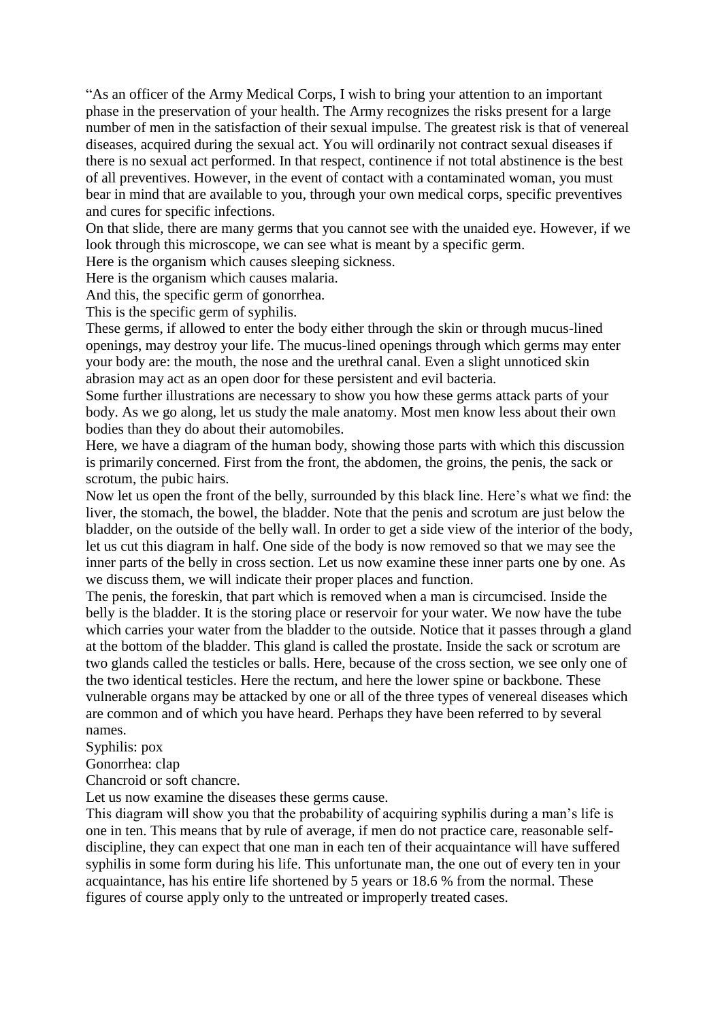"As an officer of the Army Medical Corps, I wish to bring your attention to an important phase in the preservation of your health. The Army recognizes the risks present for a large number of men in the satisfaction of their sexual impulse. The greatest risk is that of venereal diseases, acquired during the sexual act. You will ordinarily not contract sexual diseases if there is no sexual act performed. In that respect, continence if not total abstinence is the best of all preventives. However, in the event of contact with a contaminated woman, you must bear in mind that are available to you, through your own medical corps, specific preventives and cures for specific infections.

On that slide, there are many germs that you cannot see with the unaided eye. However, if we look through this microscope, we can see what is meant by a specific germ.

Here is the organism which causes sleeping sickness.

Here is the organism which causes malaria.

And this, the specific germ of gonorrhea.

This is the specific germ of syphilis.

These germs, if allowed to enter the body either through the skin or through mucus-lined openings, may destroy your life. The mucus-lined openings through which germs may enter your body are: the mouth, the nose and the urethral canal. Even a slight unnoticed skin abrasion may act as an open door for these persistent and evil bacteria.

Some further illustrations are necessary to show you how these germs attack parts of your body. As we go along, let us study the male anatomy. Most men know less about their own bodies than they do about their automobiles.

Here, we have a diagram of the human body, showing those parts with which this discussion is primarily concerned. First from the front, the abdomen, the groins, the penis, the sack or scrotum, the pubic hairs.

Now let us open the front of the belly, surrounded by this black line. Here's what we find: the liver, the stomach, the bowel, the bladder. Note that the penis and scrotum are just below the bladder, on the outside of the belly wall. In order to get a side view of the interior of the body, let us cut this diagram in half. One side of the body is now removed so that we may see the inner parts of the belly in cross section. Let us now examine these inner parts one by one. As we discuss them, we will indicate their proper places and function.

The penis, the foreskin, that part which is removed when a man is circumcised. Inside the belly is the bladder. It is the storing place or reservoir for your water. We now have the tube which carries your water from the bladder to the outside. Notice that it passes through a gland at the bottom of the bladder. This gland is called the prostate. Inside the sack or scrotum are two glands called the testicles or balls. Here, because of the cross section, we see only one of the two identical testicles. Here the rectum, and here the lower spine or backbone. These vulnerable organs may be attacked by one or all of the three types of venereal diseases which are common and of which you have heard. Perhaps they have been referred to by several names.

Syphilis: pox

Gonorrhea: clap

Chancroid or soft chancre.

Let us now examine the diseases these germs cause.

This diagram will show you that the probability of acquiring syphilis during a man's life is one in ten. This means that by rule of average, if men do not practice care, reasonable selfdiscipline, they can expect that one man in each ten of their acquaintance will have suffered syphilis in some form during his life. This unfortunate man, the one out of every ten in your acquaintance, has his entire life shortened by 5 years or 18.6 % from the normal. These figures of course apply only to the untreated or improperly treated cases.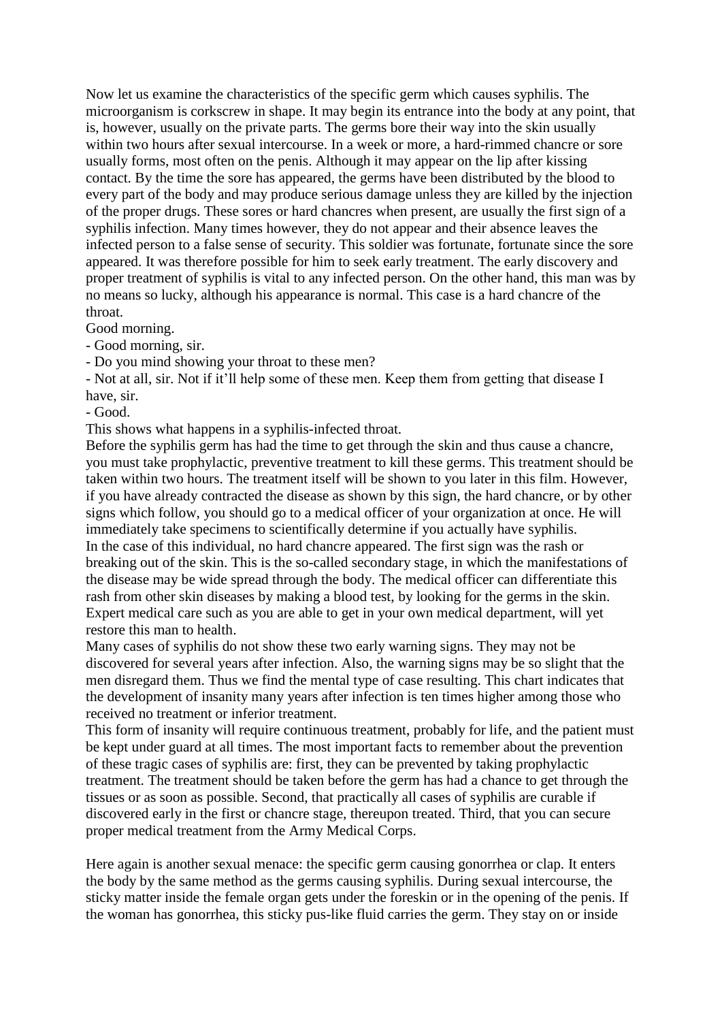Now let us examine the characteristics of the specific germ which causes syphilis. The microorganism is corkscrew in shape. It may begin its entrance into the body at any point, that is, however, usually on the private parts. The germs bore their way into the skin usually within two hours after sexual intercourse. In a week or more, a hard-rimmed chancre or sore usually forms, most often on the penis. Although it may appear on the lip after kissing contact. By the time the sore has appeared, the germs have been distributed by the blood to every part of the body and may produce serious damage unless they are killed by the injection of the proper drugs. These sores or hard chancres when present, are usually the first sign of a syphilis infection. Many times however, they do not appear and their absence leaves the infected person to a false sense of security. This soldier was fortunate, fortunate since the sore appeared. It was therefore possible for him to seek early treatment. The early discovery and proper treatment of syphilis is vital to any infected person. On the other hand, this man was by no means so lucky, although his appearance is normal. This case is a hard chancre of the throat.

Good morning.

- Good morning, sir.

- Do you mind showing your throat to these men?

- Not at all, sir. Not if it'll help some of these men. Keep them from getting that disease I have, sir.

- Good.

This shows what happens in a syphilis-infected throat.

Before the syphilis germ has had the time to get through the skin and thus cause a chancre, you must take prophylactic, preventive treatment to kill these germs. This treatment should be taken within two hours. The treatment itself will be shown to you later in this film. However, if you have already contracted the disease as shown by this sign, the hard chancre, or by other signs which follow, you should go to a medical officer of your organization at once. He will immediately take specimens to scientifically determine if you actually have syphilis. In the case of this individual, no hard chancre appeared. The first sign was the rash or breaking out of the skin. This is the so-called secondary stage, in which the manifestations of the disease may be wide spread through the body. The medical officer can differentiate this rash from other skin diseases by making a blood test, by looking for the germs in the skin. Expert medical care such as you are able to get in your own medical department, will yet restore this man to health.

Many cases of syphilis do not show these two early warning signs. They may not be discovered for several years after infection. Also, the warning signs may be so slight that the men disregard them. Thus we find the mental type of case resulting. This chart indicates that the development of insanity many years after infection is ten times higher among those who received no treatment or inferior treatment.

This form of insanity will require continuous treatment, probably for life, and the patient must be kept under guard at all times. The most important facts to remember about the prevention of these tragic cases of syphilis are: first, they can be prevented by taking prophylactic treatment. The treatment should be taken before the germ has had a chance to get through the tissues or as soon as possible. Second, that practically all cases of syphilis are curable if discovered early in the first or chancre stage, thereupon treated. Third, that you can secure proper medical treatment from the Army Medical Corps.

Here again is another sexual menace: the specific germ causing gonorrhea or clap. It enters the body by the same method as the germs causing syphilis. During sexual intercourse, the sticky matter inside the female organ gets under the foreskin or in the opening of the penis. If the woman has gonorrhea, this sticky pus-like fluid carries the germ. They stay on or inside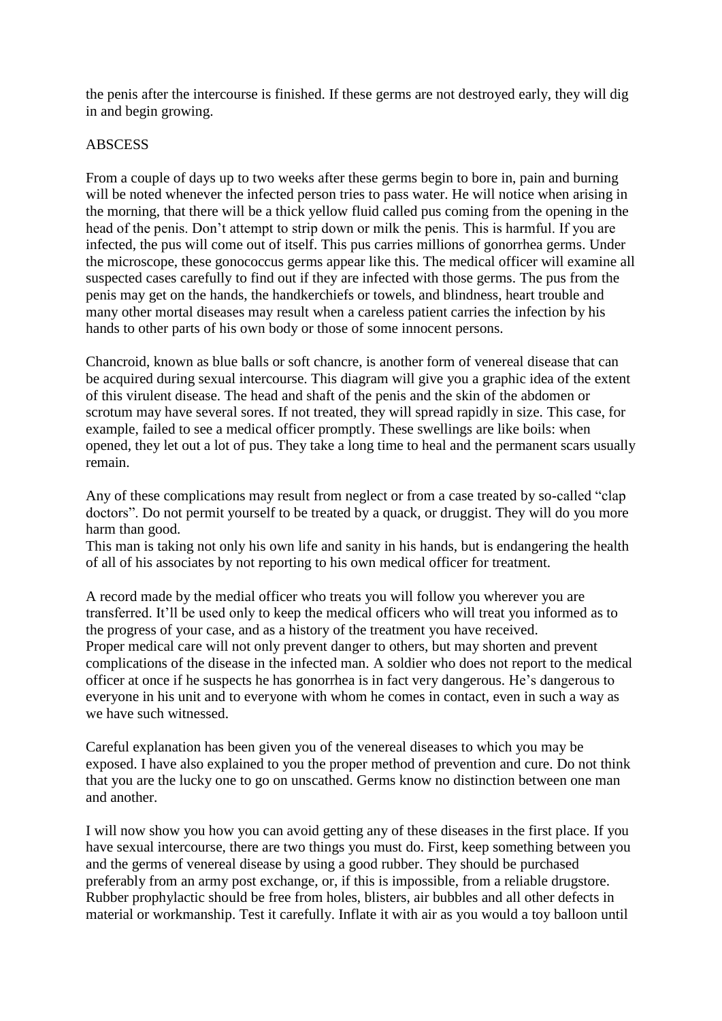the penis after the intercourse is finished. If these germs are not destroyed early, they will dig in and begin growing.

## **ABSCESS**

From a couple of days up to two weeks after these germs begin to bore in, pain and burning will be noted whenever the infected person tries to pass water. He will notice when arising in the morning, that there will be a thick yellow fluid called pus coming from the opening in the head of the penis. Don't attempt to strip down or milk the penis. This is harmful. If you are infected, the pus will come out of itself. This pus carries millions of gonorrhea germs. Under the microscope, these gonococcus germs appear like this. The medical officer will examine all suspected cases carefully to find out if they are infected with those germs. The pus from the penis may get on the hands, the handkerchiefs or towels, and blindness, heart trouble and many other mortal diseases may result when a careless patient carries the infection by his hands to other parts of his own body or those of some innocent persons.

Chancroid, known as blue balls or soft chancre, is another form of venereal disease that can be acquired during sexual intercourse. This diagram will give you a graphic idea of the extent of this virulent disease. The head and shaft of the penis and the skin of the abdomen or scrotum may have several sores. If not treated, they will spread rapidly in size. This case, for example, failed to see a medical officer promptly. These swellings are like boils: when opened, they let out a lot of pus. They take a long time to heal and the permanent scars usually remain.

Any of these complications may result from neglect or from a case treated by so-called "clap doctors". Do not permit yourself to be treated by a quack, or druggist. They will do you more harm than good.

This man is taking not only his own life and sanity in his hands, but is endangering the health of all of his associates by not reporting to his own medical officer for treatment.

A record made by the medial officer who treats you will follow you wherever you are transferred. It'll be used only to keep the medical officers who will treat you informed as to the progress of your case, and as a history of the treatment you have received. Proper medical care will not only prevent danger to others, but may shorten and prevent complications of the disease in the infected man. A soldier who does not report to the medical officer at once if he suspects he has gonorrhea is in fact very dangerous. He's dangerous to everyone in his unit and to everyone with whom he comes in contact, even in such a way as we have such witnessed.

Careful explanation has been given you of the venereal diseases to which you may be exposed. I have also explained to you the proper method of prevention and cure. Do not think that you are the lucky one to go on unscathed. Germs know no distinction between one man and another.

I will now show you how you can avoid getting any of these diseases in the first place. If you have sexual intercourse, there are two things you must do. First, keep something between you and the germs of venereal disease by using a good rubber. They should be purchased preferably from an army post exchange, or, if this is impossible, from a reliable drugstore. Rubber prophylactic should be free from holes, blisters, air bubbles and all other defects in material or workmanship. Test it carefully. Inflate it with air as you would a toy balloon until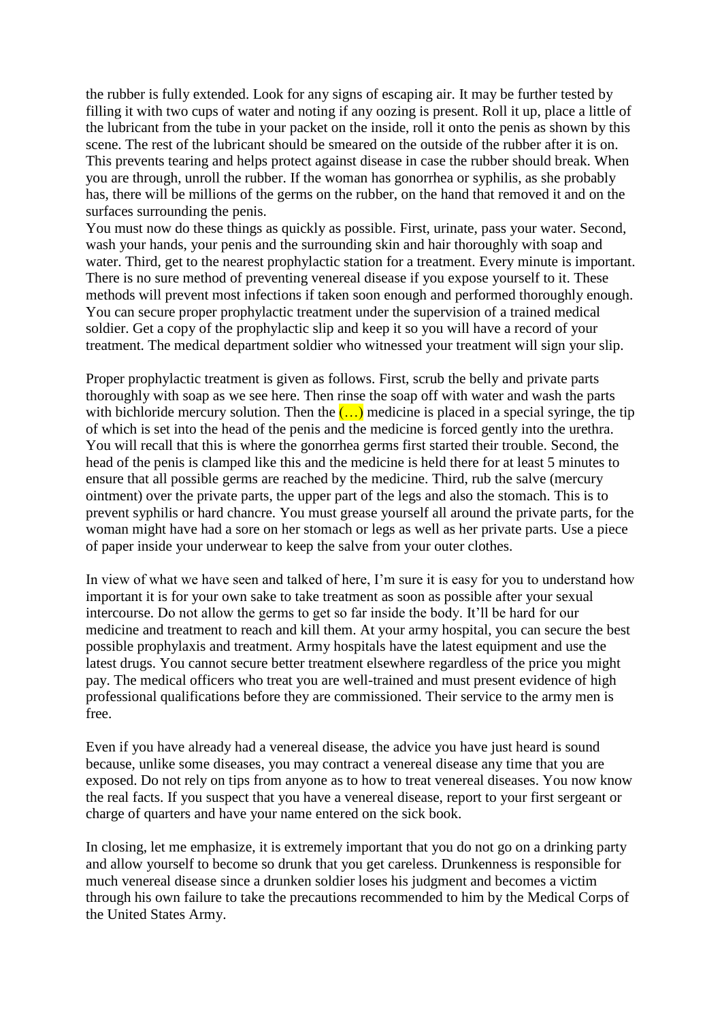the rubber is fully extended. Look for any signs of escaping air. It may be further tested by filling it with two cups of water and noting if any oozing is present. Roll it up, place a little of the lubricant from the tube in your packet on the inside, roll it onto the penis as shown by this scene. The rest of the lubricant should be smeared on the outside of the rubber after it is on. This prevents tearing and helps protect against disease in case the rubber should break. When you are through, unroll the rubber. If the woman has gonorrhea or syphilis, as she probably has, there will be millions of the germs on the rubber, on the hand that removed it and on the surfaces surrounding the penis.

You must now do these things as quickly as possible. First, urinate, pass your water. Second, wash your hands, your penis and the surrounding skin and hair thoroughly with soap and water. Third, get to the nearest prophylactic station for a treatment. Every minute is important. There is no sure method of preventing venereal disease if you expose yourself to it. These methods will prevent most infections if taken soon enough and performed thoroughly enough. You can secure proper prophylactic treatment under the supervision of a trained medical soldier. Get a copy of the prophylactic slip and keep it so you will have a record of your treatment. The medical department soldier who witnessed your treatment will sign your slip.

Proper prophylactic treatment is given as follows. First, scrub the belly and private parts thoroughly with soap as we see here. Then rinse the soap off with water and wash the parts with bichloride mercury solution. Then the  $(\ldots)$  medicine is placed in a special syringe, the tip of which is set into the head of the penis and the medicine is forced gently into the urethra. You will recall that this is where the gonorrhea germs first started their trouble. Second, the head of the penis is clamped like this and the medicine is held there for at least 5 minutes to ensure that all possible germs are reached by the medicine. Third, rub the salve (mercury ointment) over the private parts, the upper part of the legs and also the stomach. This is to prevent syphilis or hard chancre. You must grease yourself all around the private parts, for the woman might have had a sore on her stomach or legs as well as her private parts. Use a piece of paper inside your underwear to keep the salve from your outer clothes.

In view of what we have seen and talked of here, I'm sure it is easy for you to understand how important it is for your own sake to take treatment as soon as possible after your sexual intercourse. Do not allow the germs to get so far inside the body. It'll be hard for our medicine and treatment to reach and kill them. At your army hospital, you can secure the best possible prophylaxis and treatment. Army hospitals have the latest equipment and use the latest drugs. You cannot secure better treatment elsewhere regardless of the price you might pay. The medical officers who treat you are well-trained and must present evidence of high professional qualifications before they are commissioned. Their service to the army men is free.

Even if you have already had a venereal disease, the advice you have just heard is sound because, unlike some diseases, you may contract a venereal disease any time that you are exposed. Do not rely on tips from anyone as to how to treat venereal diseases. You now know the real facts. If you suspect that you have a venereal disease, report to your first sergeant or charge of quarters and have your name entered on the sick book.

In closing, let me emphasize, it is extremely important that you do not go on a drinking party and allow yourself to become so drunk that you get careless. Drunkenness is responsible for much venereal disease since a drunken soldier loses his judgment and becomes a victim through his own failure to take the precautions recommended to him by the Medical Corps of the United States Army.